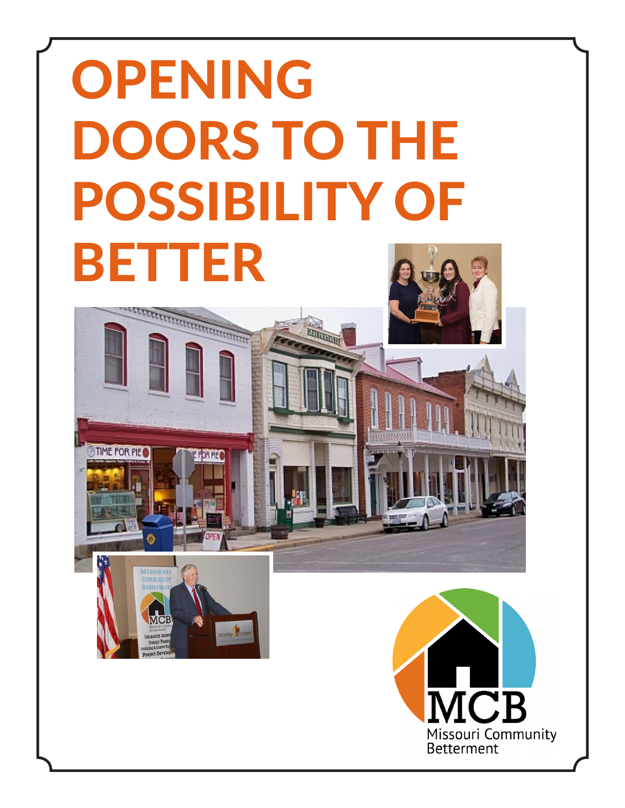# OPENING DOORS TO THE POSSIBILITY OF BETTER

**EDRUM** 

**CONTROLLER DESCRIPTION OF THE AUTOMOTIVE CONTRACTOR** 

TIME FOR PIE

MCB

mmunity 2 ect De

stoney **R** cre

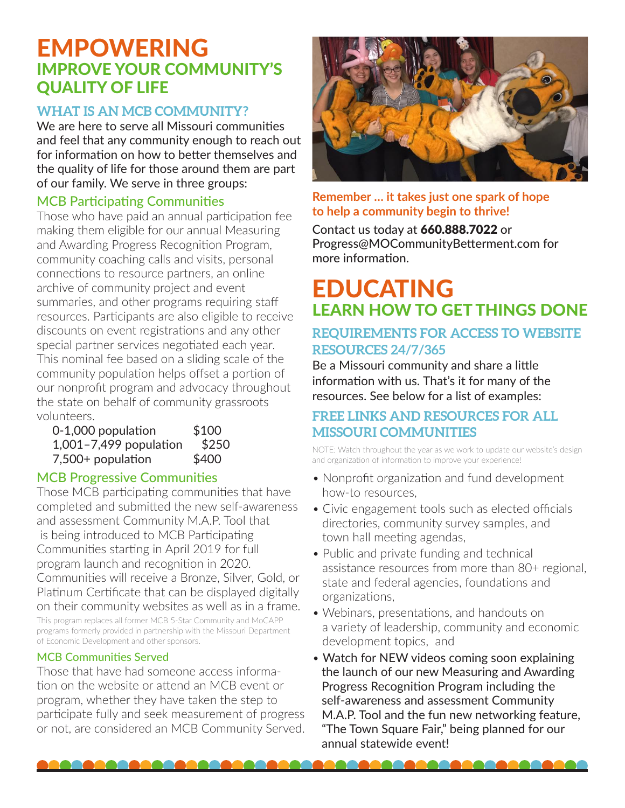## EMPOWERING IMPROVE YOUR COMMUNITY'S QUALITY OF LIFE

### **WHAT IS AN MCB COMMUNITY?**

We are here to serve all Missouri communities and feel that any community enough to reach out for information on how to better themselves and the quality of life for those around them are part of our family. We serve in three groups:

### MCB Participating Communities

Those who have paid an annual participation fee making them eligible for our annual Measuring and Awarding Progress Recognition Program, community coaching calls and visits, personal connections to resource partners, an online archive of community project and event summaries, and other programs requiring staff resources. Participants are also eligible to receive discounts on event registrations and any other special partner services negotiated each year. This nominal fee based on a sliding scale of the community population helps offset a portion of our nonprofit program and advocacy throughout the state on behalf of community grassroots volunteers.

| 0-1,000 population     | \$100 |
|------------------------|-------|
| 1,001-7,499 population | \$250 |
| 7,500+ population      | \$400 |

### MCB Progressive Communities

Those MCB participating communities that have completed and submitted the new self-awareness and assessment Community M.A.P. Tool that is being introduced to MCB Participating Communities starting in April 2019 for full program launch and recognition in 2020. Communities will receive a Bronze, Silver, Gold, or Platinum Certificate that can be displayed digitally on their community websites as well as in a frame.

This program replaces all former MCB 5-Star Community and MoCAPP programs formerly provided in partnership with the Missouri Department of Economic Development and other sponsors.

#### MCB Communities Served

Those that have had someone access information on the website or attend an MCB event or program, whether they have taken the step to participate fully and seek measurement of progress or not, are considered an MCB Community Served.



#### **Remember … it takes just one spark of hope to help a community begin to thrive!**

Contact us today at 660.888.7022 or Progress@MOCommunityBetterment.com for more information.

# EDUCATING LEARN HOW TO GET THINGS DONE

### **REQUIREMENTS FOR ACCESS TO WEBSITE RESOURCES 24/7/365**

Be a Missouri community and share a little information with us. That's it for many of the resources. See below for a list of examples:

### **FREE LINKS AND RESOURCES FOR ALL MISSOURI COMMUNITIES**

NOTE: Watch throughout the year as we work to update our website's design and organization of information to improve your experience!

- Nonprofit organization and fund development how-to resources,
- Civic engagement tools such as elected officials directories, community survey samples, and town hall meeting agendas,
- Public and private funding and technical assistance resources from more than 80+ regional, state and federal agencies, foundations and organizations,
- Webinars, presentations, and handouts on a variety of leadership, community and economic development topics, and
- Watch for NEW videos coming soon explaining the launch of our new Measuring and Awarding Progress Recognition Program including the self-awareness and assessment Community M.A.P. Tool and the fun new networking feature, "The Town Square Fair," being planned for our annual statewide event!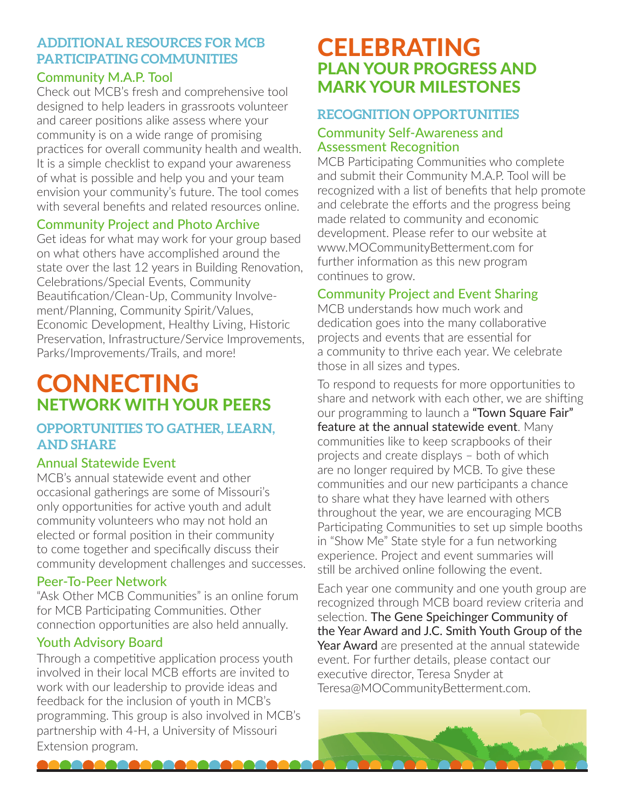### **ADDITIONAL RESOURCES FOR MCB PARTICIPATING COMMUNITIES**

### Community M.A.P. Tool

Check out MCB's fresh and comprehensive tool designed to help leaders in grassroots volunteer and career positions alike assess where your community is on a wide range of promising practices for overall community health and wealth. It is a simple checklist to expand your awareness of what is possible and help you and your team envision your community's future. The tool comes with several benefits and related resources online.

### Community Project and Photo Archive

Get ideas for what may work for your group based on what others have accomplished around the state over the last 12 years in Building Renovation, Celebrations/Special Events, Community Beautification/Clean-Up, Community Involvement/Planning, Community Spirit/Values, Economic Development, Healthy Living, Historic Preservation, Infrastructure/Service Improvements, Parks/Improvements/Trails, and more!

# **CONNECTING** NETWORK WITH YOUR PEERS

### **OPPORTUNITIES TO GATHER, LEARN, AND SHARE**

### Annual Statewide Event

MCB's annual statewide event and other occasional gatherings are some of Missouri's only opportunities for active youth and adult community volunteers who may not hold an elected or formal position in their community to come together and specifically discuss their community development challenges and successes.

### Peer-To-Peer Network

"Ask Other MCB Communities" is an online forum for MCB Participating Communities. Other connection opportunities are also held annually.

### Youth Advisory Board

10000000

Through a competitive application process youth involved in their local MCB efforts are invited to work with our leadership to provide ideas and feedback for the inclusion of youth in MCB's programming. This group is also involved in MCB's partnership with 4-H, a University of Missouri Extension program.

## CELEBRATING PLAN YOUR PROGRESS AND MARK YOUR MILESTONES

### **RECOGNITION OPPORTUNITIES**

### Community Self-Awareness and Assessment Recognition

MCB Participating Communities who complete and submit their Community M.A.P. Tool will be recognized with a list of benefits that help promote and celebrate the efforts and the progress being made related to community and economic development. Please refer to our website at www.MOCommunityBetterment.com for further information as this new program continues to grow.

### Community Project and Event Sharing

MCB understands how much work and dedication goes into the many collaborative projects and events that are essential for a community to thrive each year. We celebrate those in all sizes and types.

To respond to requests for more opportunities to share and network with each other, we are shifting our programming to launch a "Town Square Fair" feature at the annual statewide event. Many communities like to keep scrapbooks of their projects and create displays – both of which are no longer required by MCB. To give these communities and our new participants a chance to share what they have learned with others throughout the year, we are encouraging MCB Participating Communities to set up simple booths in "Show Me" State style for a fun networking experience. Project and event summaries will still be archived online following the event.

Each year one community and one youth group are recognized through MCB board review criteria and selection. The Gene Speichinger Community of the Year Award and J.C. Smith Youth Group of the Year Award are presented at the annual statewide event. For further details, please contact our executive director, Teresa Snyder at Teresa@MOCommunityBetterment.com.